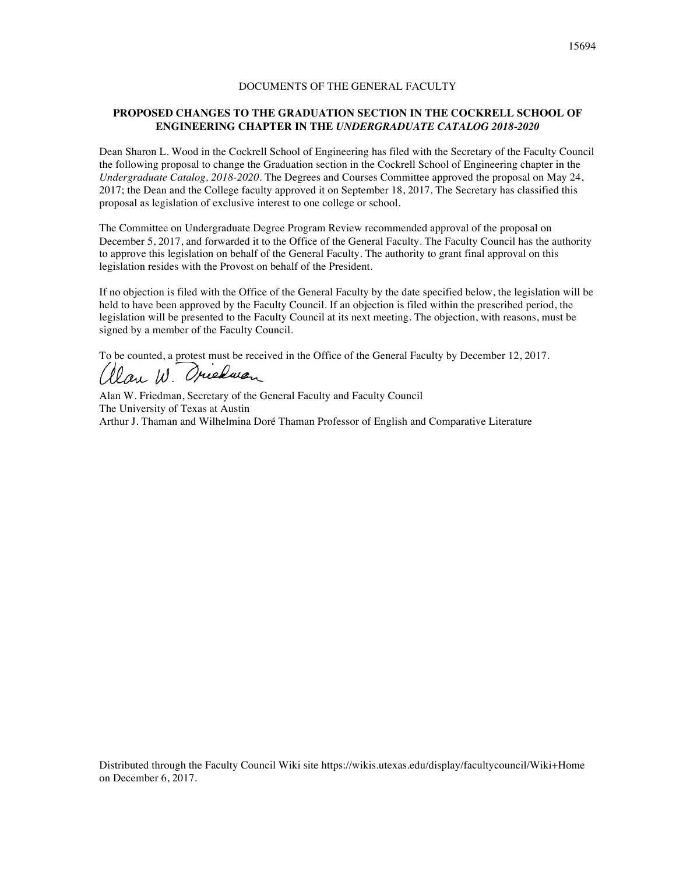# DOCUMENTS OF THE GENERAL FACULTY

## **PROPOSED CHANGES TO THE GRADUATION SECTION IN THE COCKRELL SCHOOL OF ENGINEERING CHAPTER IN THE** *UNDERGRADUATE CATALOG 2018-2020*

Dean Sharon L. Wood in the Cockrell School of Engineering has filed with the Secretary of the Faculty Council the following proposal to change the Graduation section in the Cockrell School of Engineering chapter in the *Undergraduate Catalog, 2018-2020*. The Degrees and Courses Committee approved the proposal on May 24, 2017; the Dean and the College faculty approved it on September 18, 2017. The Secretary has classified this proposal as legislation of exclusive interest to one college or school.

The Committee on Undergraduate Degree Program Review recommended approval of the proposal on December 5, 2017, and forwarded it to the Office of the General Faculty. The Faculty Council has the authority to approve this legislation on behalf of the General Faculty. The authority to grant final approval on this legislation resides with the Provost on behalf of the President.

If no objection is filed with the Office of the General Faculty by the date specified below, the legislation will be held to have been approved by the Faculty Council. If an objection is filed within the prescribed period, the legislation will be presented to the Faculty Council at its next meeting. The objection, with reasons, must be signed by a member of the Faculty Council.

To be counted, a protest must be received in the Office of the General Faculty by December 12, 2017.

Clan W. Oriedwan

Alan W. Friedman, Secretary of the General Faculty and Faculty Council The University of Texas at Austin Arthur J. Thaman and Wilhelmina Doré Thaman Professor of English and Comparative Literature

Distributed through the Faculty Council Wiki site https://wikis.utexas.edu/display/facultycouncil/Wiki+Home on December 6, 2017.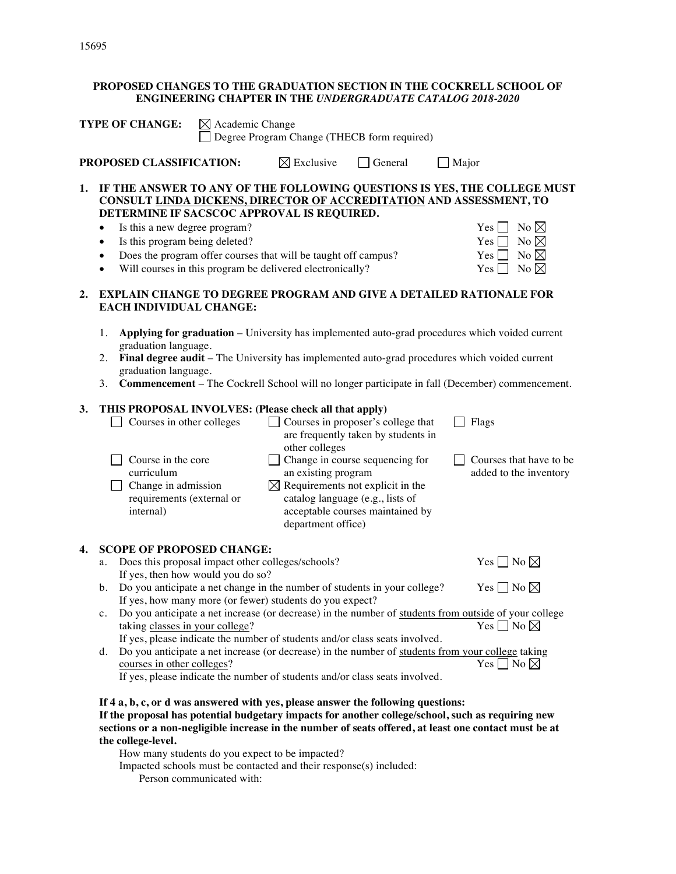# **PROPOSED CHANGES TO THE GRADUATION SECTION IN THE COCKRELL SCHOOL OF ENGINEERING CHAPTER IN THE** *UNDERGRADUATE CATALOG 2018-2020*

| <b>TYPE OF CHANGE:</b><br>$\boxtimes$ Academic Change<br>Degree Program Change (THECB form required)                                                                                                                             |                                                                                                                                                                                                                                                                                                                                                                                                                                                                                    |  |                                                                                                                                                                                                                                                                                                                                                          |                                                                                                                                                                                      |                                                                                                                                                                                                                                                                                                                                |  |
|----------------------------------------------------------------------------------------------------------------------------------------------------------------------------------------------------------------------------------|------------------------------------------------------------------------------------------------------------------------------------------------------------------------------------------------------------------------------------------------------------------------------------------------------------------------------------------------------------------------------------------------------------------------------------------------------------------------------------|--|----------------------------------------------------------------------------------------------------------------------------------------------------------------------------------------------------------------------------------------------------------------------------------------------------------------------------------------------------------|--------------------------------------------------------------------------------------------------------------------------------------------------------------------------------------|--------------------------------------------------------------------------------------------------------------------------------------------------------------------------------------------------------------------------------------------------------------------------------------------------------------------------------|--|
|                                                                                                                                                                                                                                  | PROPOSED CLASSIFICATION:                                                                                                                                                                                                                                                                                                                                                                                                                                                           |  | $\boxtimes$ Exclusive                                                                                                                                                                                                                                                                                                                                    | General                                                                                                                                                                              | $\Box$ Major                                                                                                                                                                                                                                                                                                                   |  |
| 1.                                                                                                                                                                                                                               | DETERMINE IF SACSCOC APPROVAL IS REQUIRED.<br>Is this a new degree program?<br>Is this program being deleted?<br>$\bullet$<br>٠<br>$\bullet$                                                                                                                                                                                                                                                                                                                                       |  | Does the program offer courses that will be taught off campus?<br>Will courses in this program be delivered electronically?                                                                                                                                                                                                                              |                                                                                                                                                                                      | IF THE ANSWER TO ANY OF THE FOLLOWING QUESTIONS IS YES, THE COLLEGE MUST<br>CONSULT LINDA DICKENS, DIRECTOR OF ACCREDITATION AND ASSESSMENT, TO<br>No $\boxtimes$<br>Yes    <br>No $\boxtimes$<br>Yes <sub>1</sub><br>No $\boxtimes$<br>Yes  <br>No $\boxtimes$<br>$Yes$ $\Box$                                                |  |
| 2.                                                                                                                                                                                                                               | <b>EXPLAIN CHANGE TO DEGREE PROGRAM AND GIVE A DETAILED RATIONALE FOR</b><br><b>EACH INDIVIDUAL CHANGE:</b><br>Applying for graduation - University has implemented auto-grad procedures which voided current<br>1.<br>graduation language.<br>Final degree audit - The University has implemented auto-grad procedures which voided current<br>2.<br>graduation language.<br>Commencement - The Cockrell School will no longer participate in fall (December) commencement.<br>3. |  |                                                                                                                                                                                                                                                                                                                                                          |                                                                                                                                                                                      |                                                                                                                                                                                                                                                                                                                                |  |
| 3.                                                                                                                                                                                                                               | THIS PROPOSAL INVOLVES: (Please check all that apply)<br>Courses in other colleges<br>Course in the core<br>curriculum<br>Change in admission<br>requirements (external or<br>internal)                                                                                                                                                                                                                                                                                            |  | other colleges<br>an existing program<br>$\boxtimes$ Requirements not explicit in the<br>department office)                                                                                                                                                                                                                                              | Courses in proposer's college that<br>are frequently taken by students in<br>Change in course sequencing for<br>catalog language (e.g., lists of<br>acceptable courses maintained by | Flags<br>Courses that have to be<br>added to the inventory                                                                                                                                                                                                                                                                     |  |
| 4.                                                                                                                                                                                                                               | <b>SCOPE OF PROPOSED CHANGE:</b><br>a.<br>If yes, then how would you do so?<br>b.<br>$\mathbf{c}$ .<br>taking classes in your college?<br>d.<br>courses in other colleges?<br>If 4 a, b, c, or d was answered with yes, please answer the following questions:                                                                                                                                                                                                                     |  | Does this proposal impact other colleges/schools?<br>Do you anticipate a net change in the number of students in your college?<br>If yes, how many more (or fewer) students do you expect?<br>If yes, please indicate the number of students and/or class seats involved.<br>If yes, please indicate the number of students and/or class seats involved. |                                                                                                                                                                                      | Yes $\Box$ No $\boxtimes$<br>Yes $\Box$ No $\boxtimes$<br>Do you anticipate a net increase (or decrease) in the number of students from outside of your college<br>Yes $\Box$ No $\boxtimes$<br>Do you anticipate a net increase (or decrease) in the number of students from your college taking<br>Yes $\Box$ No $\boxtimes$ |  |
| If the proposal has potential budgetary impacts for another college/school, such as requiring new<br>sections or a non-negligible increase in the number of seats offered, at least one contact must be at<br>the college-level. |                                                                                                                                                                                                                                                                                                                                                                                                                                                                                    |  |                                                                                                                                                                                                                                                                                                                                                          |                                                                                                                                                                                      |                                                                                                                                                                                                                                                                                                                                |  |

How many students do you expect to be impacted?

Impacted schools must be contacted and their response(s) included: Person communicated with: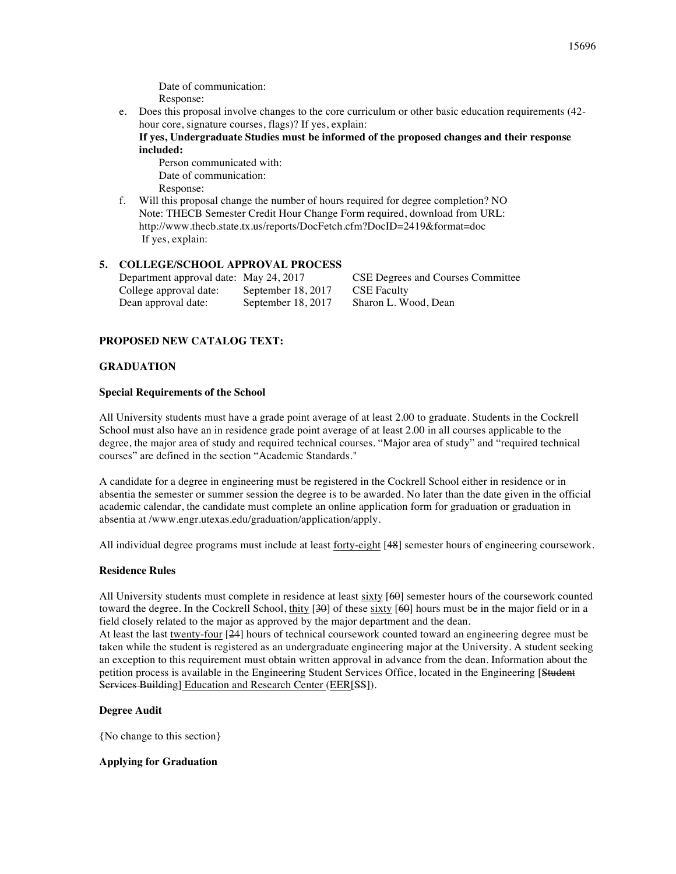Date of communication: Response:

e. Does this proposal involve changes to the core curriculum or other basic education requirements (42 hour core, signature courses, flags)? If yes, explain:

**If yes, Undergraduate Studies must be informed of the proposed changes and their response included:**

Person communicated with: Date of communication: Response:

f. Will this proposal change the number of hours required for degree completion? NO Note: THECB Semester Credit Hour Change Form required, download from URL: http://www.thecb.state.tx.us/reports/DocFetch.cfm?DocID=2419&format=doc If yes, explain:

## **5. COLLEGE/SCHOOL APPROVAL PROCESS**

College approval date: September 18, 2017 CSE Faculty Dean approval date: September 18, 2017 Sharon L. Wood, Dean

Department approval date: May 24, 2017 CSE Degrees and Courses Committee

## **PROPOSED NEW CATALOG TEXT:**

### **GRADUATION**

#### **Special Requirements of the School**

All University students must have a grade point average of at least 2.00 to graduate. Students in the Cockrell School must also have an in residence grade point average of at least 2.00 in all courses applicable to the degree, the major area of study and required technical courses. "Major area of study" and "required technical courses" are defined in the section "Academic Standards."

A candidate for a degree in engineering must be registered in the Cockrell School either in residence or in absentia the semester or summer session the degree is to be awarded. No later than the date given in the official academic calendar, the candidate must complete an online application form for graduation or graduation in absentia at /www.engr.utexas.edu/graduation/application/apply.

All individual degree programs must include at least forty-eight [48] semester hours of engineering coursework.

### **Residence Rules**

All University students must complete in residence at least sixty [60] semester hours of the coursework counted toward the degree. In the Cockrell School, thity [30] of these sixty [60] hours must be in the major field or in a field closely related to the major as approved by the major department and the dean.

At least the last twenty-four [24] hours of technical coursework counted toward an engineering degree must be taken while the student is registered as an undergraduate engineering major at the University. A student seeking an exception to this requirement must obtain written approval in advance from the dean. Information about the petition process is available in the Engineering Student Services Office, located in the Engineering [Student Services Building] Education and Research Center (EER[SS]).

### **Degree Audit**

{No change to this section}

### **Applying for Graduation**